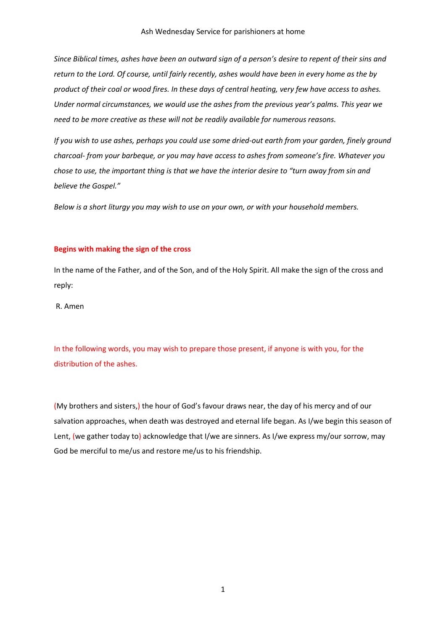*Since Biblical times, ashes have been an outward sign of a person's desire to repent of their sins and return to the Lord. Of course, until fairly recently, ashes would have been in every home as the by product of their coal or wood fires. In these days of central heating, very few have access to ashes. Under normal circumstances, we would use the ashes from the previous year's palms. This year we need to be more creative as these will not be readily available for numerous reasons.*

*If you wish to use ashes, perhaps you could use some dried-out earth from your garden, finely ground charcoal- from your barbeque, or you may have access to ashes from someone's fire. Whatever you chose to use, the important thing is that we have the interior desire to "turn away from sin and believe the Gospel."*

*Below is a short liturgy you may wish to use on your own, or with your household members.* 

#### **Begins with making the sign of the cross**

In the name of the Father, and of the Son, and of the Holy Spirit. All make the sign of the cross and reply:

R. Amen

In the following words, you may wish to prepare those present, if anyone is with you, for the distribution of the ashes.

(My brothers and sisters,) the hour of God's favour draws near, the day of his mercy and of our salvation approaches, when death was destroyed and eternal life began. As I/we begin this season of Lent, (we gather today to) acknowledge that I/we are sinners. As I/we express my/our sorrow, may God be merciful to me/us and restore me/us to his friendship.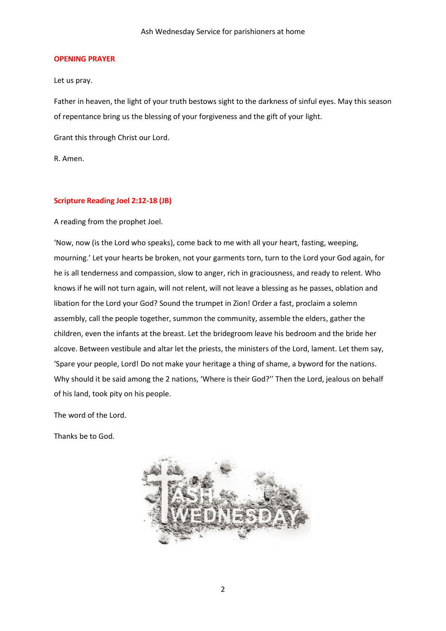#### **OPENING PRAYER**

Let us pray.

Father in heaven, the light of your truth bestows sight to the darkness of sinful eyes. May this season of repentance bring us the blessing of your forgiveness and the gift of your light.

Grant this through Christ our Lord.

R. Amen.

### **Scripture Reading Joel 2:12-18 (JB)**

A reading from the prophet Joel.

'Now, now (is the Lord who speaks), come back to me with all your heart, fasting, weeping, mourning.' Let your hearts be broken, not your garments torn, turn to the Lord your God again, for he is all tenderness and compassion, slow to anger, rich in graciousness, and ready to relent. Who knows if he will not turn again, will not relent, will not leave a blessing as he passes, oblation and libation for the Lord your God? Sound the trumpet in Zion! Order a fast, proclaim a solemn assembly, call the people together, summon the community, assemble the elders, gather the children, even the infants at the breast. Let the bridegroom leave his bedroom and the bride her alcove. Between vestibule and altar let the priests, the ministers of the Lord, lament. Let them say, 'Spare your people, Lord! Do not make your heritage a thing of shame, a byword for the nations. Why should it be said among the 2 nations, 'Where is their God?'' Then the Lord, jealous on behalf of his land, took pity on his people.

The word of the Lord.

Thanks be to God.

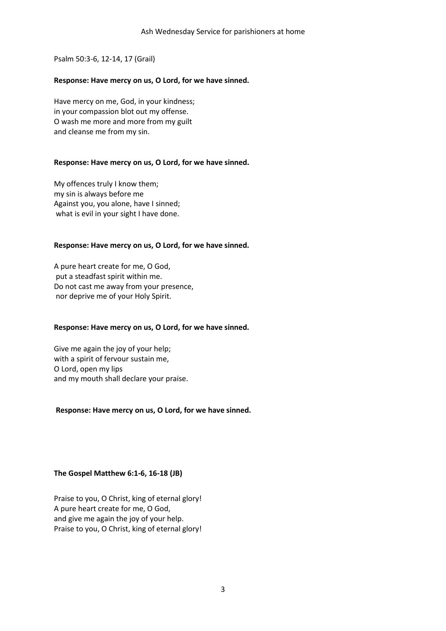Psalm 50:3-6, 12-14, 17 (Grail)

### **Response: Have mercy on us, O Lord, for we have sinned.**

Have mercy on me, God, in your kindness; in your compassion blot out my offense. O wash me more and more from my guilt and cleanse me from my sin.

### **Response: Have mercy on us, O Lord, for we have sinned.**

My offences truly I know them; my sin is always before me Against you, you alone, have I sinned; what is evil in your sight I have done.

### **Response: Have mercy on us, O Lord, for we have sinned.**

A pure heart create for me, O God, put a steadfast spirit within me. Do not cast me away from your presence, nor deprive me of your Holy Spirit.

# **Response: Have mercy on us, O Lord, for we have sinned.**

Give me again the joy of your help; with a spirit of fervour sustain me, O Lord, open my lips and my mouth shall declare your praise.

# **Response: Have mercy on us, O Lord, for we have sinned.**

# **The Gospel Matthew 6:1-6, 16-18 (JB)**

Praise to you, O Christ, king of eternal glory! A pure heart create for me, O God, and give me again the joy of your help. Praise to you, O Christ, king of eternal glory!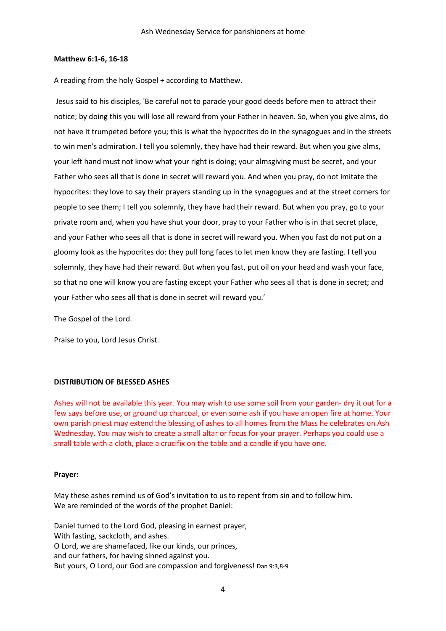#### **Matthew 6:1-6, 16-18**

A reading from the holy Gospel + according to Matthew.

Jesus said to his disciples, 'Be careful not to parade your good deeds before men to attract their notice; by doing this you will lose all reward from your Father in heaven. So, when you give alms, do not have it trumpeted before you; this is what the hypocrites do in the synagogues and in the streets to win men's admiration. I tell you solemnly, they have had their reward. But when you give alms, your left hand must not know what your right is doing; your almsgiving must be secret, and your Father who sees all that is done in secret will reward you. And when you pray, do not imitate the hypocrites: they love to say their prayers standing up in the synagogues and at the street corners for people to see them; I tell you solemnly, they have had their reward. But when you pray, go to your private room and, when you have shut your door, pray to your Father who is in that secret place, and your Father who sees all that is done in secret will reward you. When you fast do not put on a gloomy look as the hypocrites do: they pull long faces to let men know they are fasting. I tell you solemnly, they have had their reward. But when you fast, put oil on your head and wash your face, so that no one will know you are fasting except your Father who sees all that is done in secret; and your Father who sees all that is done in secret will reward you.'

The Gospel of the Lord.

Praise to you, Lord Jesus Christ.

# **DISTRIBUTION OF BLESSED ASHES**

Ashes will not be available this year. You may wish to use some soil from your garden- dry it out for a few says before use, or ground up charcoal, or even some ash if you have an open fire at home. Your own parish priest may extend the blessing of ashes to all homes from the Mass he celebrates on Ash Wednesday. You may wish to create a small altar or focus for your prayer. Perhaps you could use a small table with a cloth, place a crucifix on the table and a candle if you have one.

#### **Prayer:**

May these ashes remind us of God's invitation to us to repent from sin and to follow him. We are reminded of the words of the prophet Daniel:

Daniel turned to the Lord God, pleasing in earnest prayer, With fasting, sackcloth, and ashes. O Lord, we are shamefaced, like our kinds, our princes, and our fathers, for having sinned against you. But yours, O Lord, our God are compassion and forgiveness! Dan 9:3,8-9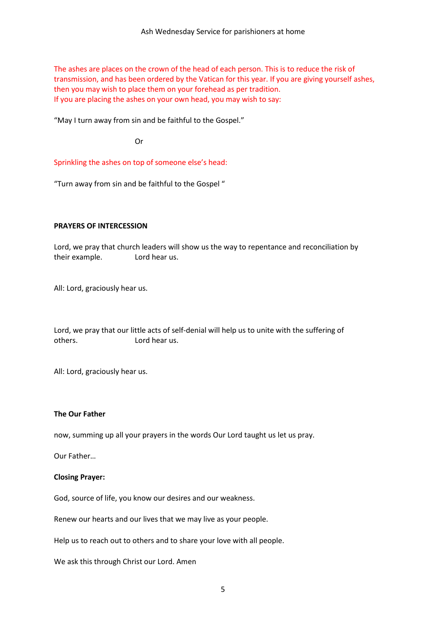The ashes are places on the crown of the head of each person. This is to reduce the risk of transmission, and has been ordered by the Vatican for this year. If you are giving yourself ashes, then you may wish to place them on your forehead as per tradition. If you are placing the ashes on your own head, you may wish to say:

"May I turn away from sin and be faithful to the Gospel."

Or

Sprinkling the ashes on top of someone else's head:

"Turn away from sin and be faithful to the Gospel "

### **PRAYERS OF INTERCESSION**

Lord, we pray that church leaders will show us the way to repentance and reconciliation by their example. Lord hear us.

All: Lord, graciously hear us.

Lord, we pray that our little acts of self-denial will help us to unite with the suffering of others. Lord hear us.

All: Lord, graciously hear us.

# **The Our Father**

now, summing up all your prayers in the words Our Lord taught us let us pray.

Our Father…

#### **Closing Prayer:**

God, source of life, you know our desires and our weakness.

Renew our hearts and our lives that we may live as your people.

Help us to reach out to others and to share your love with all people.

We ask this through Christ our Lord. Amen